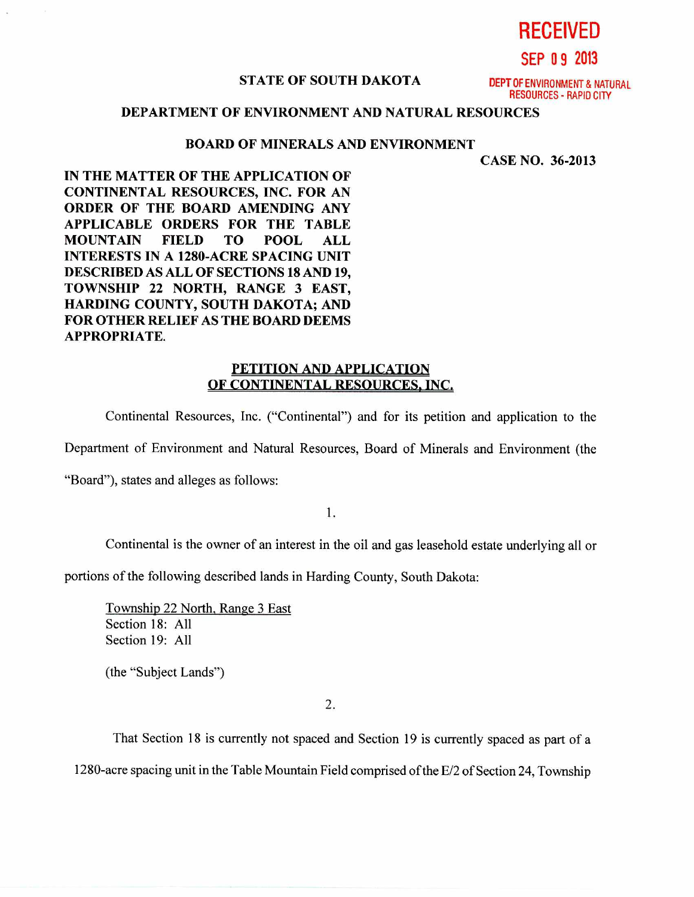**RECEIVED** 

**SEP 0 9 2013** 

## **STATE OF SOUTH DAKOTA DEPT OF** ENVIRONMENT & NATURAL

RESOURCES - RAPID CITY

## **DEPARTMENT OF ENVIRONMENT AND NATURAL RESOURCES**

## **BOARD OF MINERALS AND ENVIRONMENT**

**CASE NO. 36-2013** 

**IN THE MATTER OF THE APPLICATION OF CONTINENTAL RESOURCES, INC. FOR AN ORDER OF THE BOARD AMENDING ANY APPLICABLE ORDERS FOR THE TABLE MOUNTAIN FIELD TO POOL ALL INTERESTS IN A 1280-ACRE SPACING UNIT DESCRIBED AS ALL OF SECTIONS 18 AND 19, TOWNSHIP 22 NORTH, RANGE 3 EAST, HARDING COUNTY, SOUTH DAKOTA; AND FOR OTHER RELIEF AS THE BOARD DEEMS APPROPRIATE.** 

## **PETITION AND APPLICATION OF CONTINENTAL RESOURCES, INC.**

Continental Resources, Inc. ("Continental") and for its petition and application to the

Department of Environment and Natural Resources, Board of Minerals and Environment (the

"Board"), states and alleges as follows:

1.

Continental is the owner of an interest in the oil and gas leasehold estate underlying all or

portions of the following described lands in Harding County, South Dakota:

Township 22 North, Range 3 East Section 18: All Section 19: All

(the "Subject Lands")

2.

That Section 18 is currently not spaced and Section 19 is currently spaced as part of a 1280-acre spacing unit in the Table Mountain Field comprised of the E/2 of Section 24, Township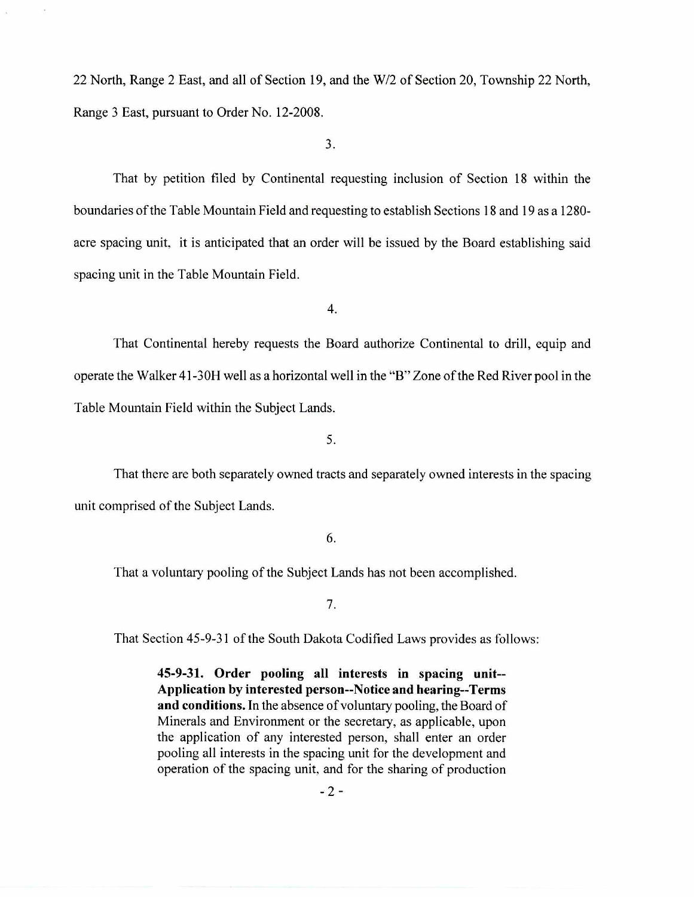22 North, Range 2 East, and all of Section 19, and the W/2 of Section 20, Township 22 North, Range 3 East, pursuant to Order No. 12-2008.

3.

That by petition filed by Continental requesting inclusion of Section 18 within the boundaries of the Table Mountain Field and requesting to establish Sections 18 and 19 as a 1280 acre spacing unit, it is anticipated that an order will be issued by the Board establishing said spacing unit in the Table Mountain Field.

4.

That Continental hereby requests the Board authorize Continental to drill, equip and operate the Walker 41-30H well as a horizontal well in the "B" Zone of the Red River pool in the Table Mountain Field within the Subject Lands.

5.

That there are both separately owned tracts and separately owned interests in the spacing unit comprised of the Subject Lands.

6.

That a voluntary pooling of the Subject Lands has not been accomplished.

7.

That Section 45-9-31 of the South Dakota Codified Laws provides as follows:

**45-9-31. Order pooling all interests in spacing unit-- Application by interested person--Notice and hearing--Terms and conditions.** In the absence of voluntary pooling, the Board of Minerals and Environment or the secretary, as applicable, upon the application of any interested person, shall enter an order pooling all interests in the spacing unit for the development and operation of the spacing unit, and for the sharing of production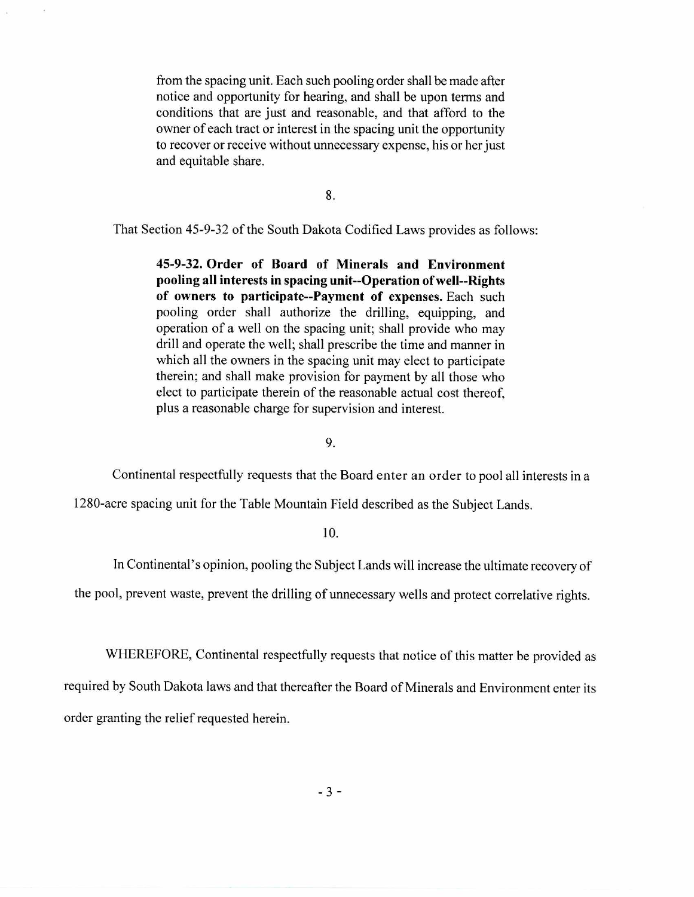from the spacing unit. Each such pooling order shall be made after notice and opportunity for hearing, and shall be upon terms and conditions that are just and reasonable, and that afford to the owner of each tract or interest in the spacing unit the opportunity to recover or receive without unnecessary expense, his or her just and equitable share.

8.

That Section 45-9-32 of the South Dakota Codified Laws provides as follows:

**45-9-32. Order of Board of Minerals and Environment pooling all interests in spacing unit--Operation of well--Rights of owners to participate--Payment of expenses.** Each such pooling order shall authorize the drilling, equipping, and operation of a well on the spacing unit; shall provide who may drill and operate the well; shall prescribe the time and manner in which all the owners in the spacing unit may elect to participate therein; and shall make provision for payment by all those who elect to participate therein of the reasonable actual cost thereof, plus a reasonable charge for supervision and interest.

9.

Continental respectfully requests that the Board enter an order to pool all interests in a

1280-acre spacing unit for the Table Mountain Field described as the Subject Lands.

**10.** 

**In** Continental's opinion, pooling the Subject Lands will increase the ultimate recovery of

the pool, prevent waste, prevent the drilling of unnecessary wells and protect correlative rights.

WHEREFORE, Continental respectfully requests that notice of this matter be provided as required by South Dakota laws and that thereafter the Board of Minerals and Environment enter its order granting the relief requested herein.